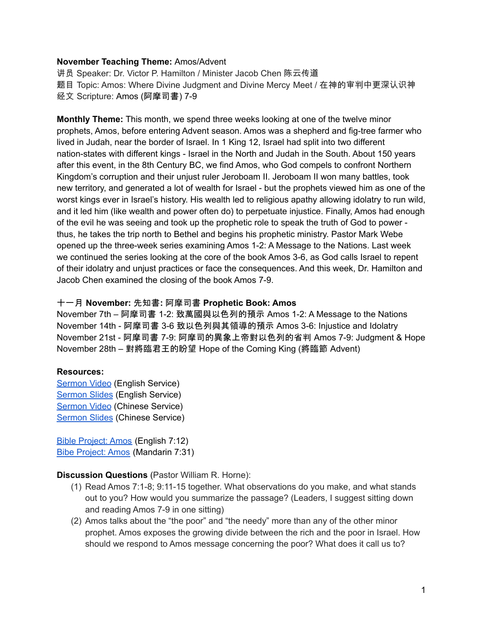# **November Teaching Theme:** Amos/Advent

讲员 Speaker: Dr. Victor P. Hamilton / Minister Jacob Chen 陈云传道 题目 Topic: Amos: Where Divine Judgment and Divine Mercy Meet / 在神的审判中更深认识神 经文 Scripture: Amos (阿摩司書) 7-9

<span id="page-0-0"></span>**Monthly Theme:** This month, we spend three weeks looking at one of the twelve minor prophets, Amos, before entering Advent season. Amos was a shepherd and fig-tree farmer who lived in Judah, near the border of Israel. In 1 King 12, Israel had split into two different nation-states with different kings - Israel in the North and Judah in the South. About 150 years after this event, in the 8th Century BC, we find Amos, who God compels to confront Northern Kingdom's corruption and their unjust ruler Jeroboam II. Jeroboam II won many battles, took new territory, and generated a lot of wealth for Israel - but the prophets viewed him as one of the worst kings ever in Israel's history. His wealth led to religious apathy allowing idolatry to run wild, and it led him (like wealth and power often do) to perpetuate injustice. Finally, Amos had enough of the evil he was seeing and took up the prophetic role to speak the truth of God to power thus, he takes the trip north to Bethel and begins his prophetic ministry. Pastor Mark Webe opened up the three-week series examining Amos 1-2: A Message to the Nations. Last week we continued the series looking at the core of the book Amos 3-6, as God calls Israel to repent of their idolatry and unjust practices or face the consequences. And this week, Dr. Hamilton and Jacob Chen examined the closing of the book Amos 7-9.

## 十一月 **November:** 先知書**:** 阿摩司書 **Prophetic Book: Amos**

November 7th – 阿摩司書 1-2: 致萬國與以色列的預示 Amos 1-2: A Message to the Nations November 14th - 阿摩司書 3-6 致以色列與其領導的預示 Amos 3-6: Injustice and Idolatry November 21st - 阿摩司書 7-9: 阿摩司的異象上帝對以色列的省判 Amos 7-9: Judgment & Hope November 28th – 對將臨君王的盼望 Hope of the Coming King (將臨節 Advent)

### **Resources:**

[Sermon](https://youtu.be/YWd45r3Ygvw?t=1686) Video (English Service) [Sermon](https://docs.google.com/presentation/d/1lLJyVqpCsN4OiU7w6V9NVKZMKL-pqifft3Vgw9rKG9Q/edit?usp=sharing) Slides (English Service) [Sermon](https://www.youtube.com/watch?v=7dT2KUd2M1A) Video (Chinese Service) [Sermon](https://docs.google.com/presentation/d/196HJmpBsD4ZYB3pBCz-9p7iitSfLRNnH/edit?usp=sharing&ouid=111022305003760555164&rtpof=true&sd=true) Slides (Chinese Service)

Bible [Project:](https://bibleproject.com/explore/video/amos/) Amos (English 7:12) Bibe [Project:](https://www.youtube.com/watch?v=VMtdBwmPft4&list=PLE-R0uydm0uN0xKD3tw0aheiQojlf1JB1&index=20) Amos (Mandarin 7:31)

### **Discussion Questions** (Pastor William R. Horne):

- (1) Read Amos 7:1-8; 9:11-15 together. What observations do you make, and what stands out to you? How would you summarize the passage? (Leaders, I suggest sitting down and reading Amos 7-9 in one sitting)
- (2) Amos talks about the "the poor" and "the needy" more than any of the other minor prophet. Amos exposes the growing divide between the rich and the poor in Israel. How should we respond to Amos message concerning the poor? What does it call us to?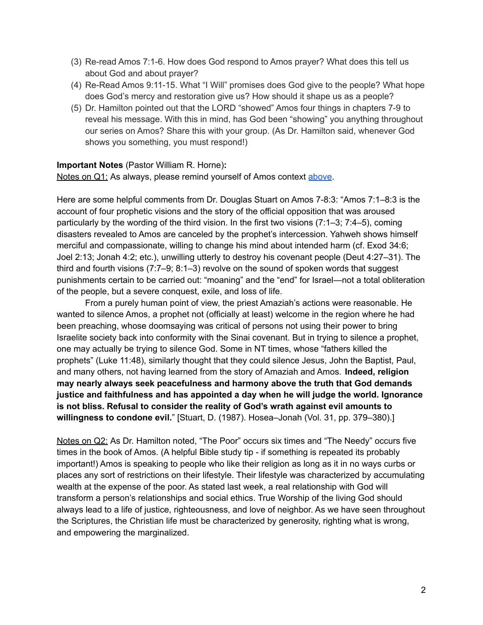- (3) Re-read Amos 7:1-6. How does God respond to Amos prayer? What does this tell us about God and about prayer?
- (4) Re-Read Amos 9:11-15. What "I Will" promises does God give to the people? What hope does God's mercy and restoration give us? How should it shape us as a people?
- (5) Dr. Hamilton pointed out that the LORD "showed" Amos four things in chapters 7-9 to reveal his message. With this in mind, has God been "showing" you anything throughout our series on Amos? Share this with your group. (As Dr. Hamilton said, whenever God shows you something, you must respond!)

# **Important Notes** (Pastor William R. Horne)**:**

Notes on Q1: As always, please remind yourself of Amos context [above.](#page-0-0)

Here are some helpful comments from Dr. Douglas Stuart on Amos 7-8:3: "Amos 7:1–8:3 is the account of four prophetic visions and the story of the official opposition that was aroused particularly by the wording of the third vision. In the first two visions (7:1–3; 7:4–5), coming disasters revealed to Amos are canceled by the prophet's intercession. Yahweh shows himself merciful and compassionate, willing to change his mind about intended harm (cf. Exod 34:6; Joel 2:13; Jonah 4:2; etc.), unwilling utterly to destroy his covenant people (Deut 4:27–31). The third and fourth visions (7:7–9; 8:1–3) revolve on the sound of spoken words that suggest punishments certain to be carried out: "moaning" and the "end" for Israel—not a total obliteration of the people, but a severe conquest, exile, and loss of life.

From a purely human point of view, the priest Amaziah's actions were reasonable. He wanted to silence Amos, a prophet not (officially at least) welcome in the region where he had been preaching, whose doomsaying was critical of persons not using their power to bring Israelite society back into conformity with the Sinai covenant. But in trying to silence a prophet, one may actually be trying to silence God. Some in NT times, whose "fathers killed the prophets" (Luke 11:48), similarly thought that they could silence Jesus, John the Baptist, Paul, and many others, not having learned from the story of Amaziah and Amos. **Indeed, religion may nearly always seek peacefulness and harmony above the truth that God demands justice and faithfulness and has appointed a day when he will judge the world. Ignorance is not bliss. Refusal to consider the reality of God's wrath against evil amounts to willingness to condone evil.**" [Stuart, D. (1987). Hosea–Jonah (Vol. 31, pp. 379–380).]

Notes on Q2: As Dr. Hamilton noted, "The Poor" occurs six times and "The Needy" occurs five times in the book of Amos. (A helpful Bible study tip - if something is repeated its probably important!) Amos is speaking to people who like their religion as long as it in no ways curbs or places any sort of restrictions on their lifestyle. Their lifestyle was characterized by accumulating wealth at the expense of the poor. As stated last week, a real relationship with God will transform a person's relationships and social ethics. True Worship of the living God should always lead to a life of justice, righteousness, and love of neighbor. As we have seen throughout the Scriptures, the Christian life must be characterized by generosity, righting what is wrong, and empowering the marginalized.